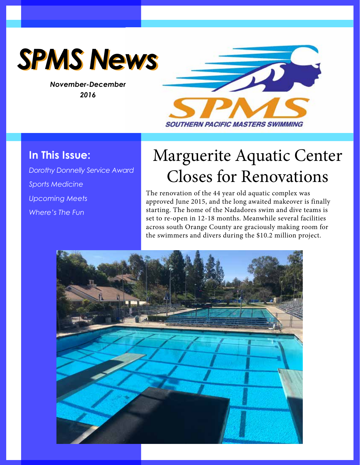

*November-December 2016*



# **In This Issue:**

*Dorothy Donnelly Service Award Sports Medicine Upcoming Meets Where's The Fun*

# Marguerite Aquatic Center Closes for Renovations

The renovation of the 44 year old aquatic complex was approved June 2015, and the long awaited makeover is finally starting. The home of the Nadadores swim and dive teams is set to re-open in 12-18 months. Meanwhile several facilities across south Orange County are graciously making room for the swimmers and divers during the \$10.2 million project.

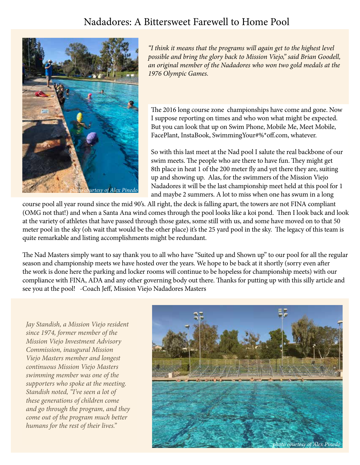# Nadadores: A Bittersweet Farewell to Home Pool



*"I think it means that the programs will again get to the highest level possible and bring the glory back to Mission Viejo," said Brian Goodell, an original member of the Nadadores who won two gold medals at the 1976 Olympic Games.*

The 2016 long course zone championships have come and gone. Now I suppose reporting on times and who won what might be expected. But you can look that up on Swim Phone, Mobile Me, Meet Mobile, FacePlant, InstaBook, SwimmingYour#%\*off.com, whatever.

So with this last meet at the Nad pool I salute the real backbone of our swim meets. The people who are there to have fun. They might get 8th place in heat 1 of the 200 meter fly and yet there they are, suiting up and showing up. Alas, for the swimmers of the Mission Viejo Nadadores it will be the last championship meet held at this pool for 1 and maybe 2 summers. A lot to miss when one has swum in a long

course pool all year round since the mid 90's. All right, the deck is falling apart, the towers are not FINA compliant (OMG not that!) and when a Santa Ana wind comes through the pool looks like a koi pond. Then I look back and look at the variety of athletes that have passed through those gates, some still with us, and some have moved on to that 50 meter pool in the sky (oh wait that would be the other place) it's the 25 yard pool in the sky. The legacy of this team is quite remarkable and listing accomplishments might be redundant.

The Nad Masters simply want to say thank you to all who have "Suited up and Shown up" to our pool for all the regular season and championship meets we have hosted over the years. We hope to be back at it shortly (sorry even after the work is done here the parking and locker rooms will continue to be hopeless for championship meets) with our compliance with FINA, ADA and any other governing body out there. Thanks for putting up with this silly article and see you at the pool! -Coach Jeff, Mission Viejo Nadadores Masters

*Jay Standish, a Mission Viejo resident since 1974, former member of the Mission Viejo Investment Advisory Commission, inaugural Mission Viejo Masters member and longest continuous Mission Viejo Masters swimming member was one of the supporters who spoke at the meeting. Standish noted, "I've seen a lot of these generations of children come and go through the program, and they come out of the program much better humans for the rest of their lives."*

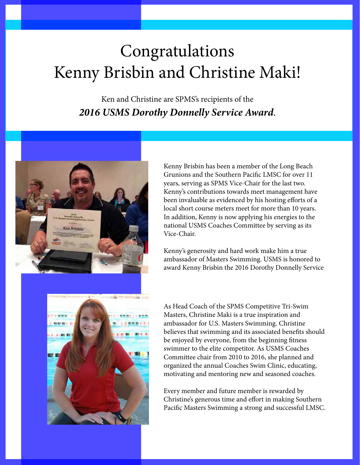# Congratulations Kenny Brisbin and Christine Maki!

Ken and Christine are SPMS's recipients of the *2016 USMS Dorothy Donnelly Service Award*.



Kenny Brisbin has been a member of the Long Beach Grunions and the Southern Pacific LMSC for over 11 years, serving as SPMS Vice-Chair for the last two. Kenny's contributions towards meet management have been invaluable as evidenced by his hosting efforts of a local short course meters meet for more than 10 years. In addition, Kenny is now applying his energies to the national USMS Coaches Committee by serving as its Vice-Chair.

Kenny's generosity and hard work make him a true ambassador of Masters Swimming. USMS is honored to award Kenny Brisbin the 2016 Dorothy Donnelly Service



As Head Coach of the SPMS Competitive Tri-Swim Masters, Christine Maki is a true inspiration and ambassador for U.S. Masters Swimming. Christine believes that swimming and its associated benefits should be enjoyed by everyone, from the beginning fitness swimmer to the elite competitor. As USMS Coaches Committee chair from 2010 to 2016, she planned and organized the annual Coaches Swim Clinic, educating, motivating and mentoring new and seasoned coaches.

Every member and future member is rewarded by Christine's generous time and effort in making Southern Pacific Masters Swimming a strong and successful LMSC.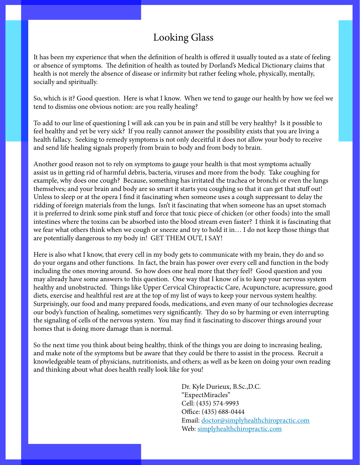## Looking Glass

It has been my experience that when the definition of health is offered it usually touted as a state of feeling or absence of symptoms. The definition of health as touted by Dorland's Medical Dictionary claims that health is not merely the absence of disease or infirmity but rather feeling whole, physically, mentally, socially and spiritually.

So, which is it? Good question. Here is what I know. When we tend to gauge our health by how we feel we tend to dismiss one obvious notion: are you really healing?

To add to our line of questioning I will ask can you be in pain and still be very healthy? Is it possible to feel healthy and yet be very sick? If you really cannot answer the possibility exists that you are living a health fallacy. Seeking to remedy symptoms is not only deceitful it does not allow your body to receive and send life healing signals properly from brain to body and from body to brain.

Another good reason not to rely on symptoms to gauge your health is that most symptoms actually assist us in getting rid of harmful debris, bacteria, viruses and more from the body. Take coughing for example, why does one cough? Because, something has irritated the trachea or bronchi or even the lungs themselves; and your brain and body are so smart it starts you coughing so that it can get that stuff out! Unless to sleep or at the opera I find it fascinating when someone uses a cough suppressant to delay the ridding of foreign materials from the lungs. Isn't it fascinating that when someone has an upset stomach it is preferred to drink some pink stuff and force that toxic piece of chicken (or other foods) into the small intestines where the toxins can be absorbed into the blood stream even faster? I think it is fascinating that we fear what others think when we cough or sneeze and try to hold it in… I do not keep those things that are potentially dangerous to my body in! GET THEM OUT, I SAY!

Here is also what I know, that every cell in my body gets to communicate with my brain, they do and so do your organs and other functions. In fact, the brain has power over every cell and function in the body including the ones moving around. So how does one heal more that they feel? Good question and you may already have some answers to this question. One way that I know of is to keep your nervous system healthy and unobstructed. Things like Upper Cervical Chiropractic Care, Acupuncture, acupressure, good diets, exercise and healthful rest are at the top of my list of ways to keep your nervous system healthy. Surprisingly, our food and many prepared foods, medications, and even many of our technologies decrease our body's function of healing, sometimes very significantly. They do so by harming or even interrupting the signaling of cells of the nervous system. You may find it fascinating to discover things around your homes that is doing more damage than is normal.

So the next time you think about being healthy, think of the things you are doing to increasing healing, and make note of the symptoms but be aware that they could be there to assist in the process. Recruit a knowledgeable team of physicians, nutritionists, and others; as well as be keen on doing your own reading and thinking about what does health really look like for you!

> Dr. Kyle Durieux, B.Sc.,D.C. "ExpectMiracles" Cell: (435) 574-9993 Office: (435) 688-0444 Email: [doctor@simplyhealthchiropractic.com](mailto:doctor%40simplyhealthchiropractic.com?subject=) Web: [simplyhealthchiropractic.com](http://simplyhealthchiropractic.com)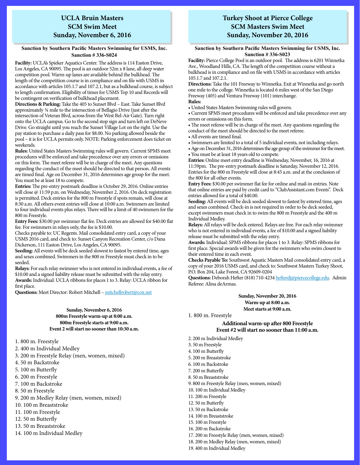## **UCLA Bruin Masters SCM Swim Meet Sunday, November 6, 2016**

#### **Sanction by Southern Pacific Masters Swimming for USMS, Inc. Sanction # 336-S024**

**Facility:** UCLA's Spieker Aquatics Center. The address is 114 Easton Drive, Los Angeles, CA 90095. The pool is an outdoor 52m x 8 lane, all deep water competition pool. Warm-up lanes are available behind the bulkhead. The length of the competition course is in compliance and on file with USMS in accordance with articles 105.1.7 and 107.2.1, but as a bulkhead course, is subject to length confirmation. Eligibility of times for USMS Top 10 and Records will be contingent on verification of bulkhead placement.

**Directions & Parking:** Take the 405 to Sunset Blvd – East. Take Sunset Blvd approximately ¾ mile to the intersection of Bellagio Drive (just after the intersection of Veteran Blvd, across from the West Bel-Air Gate). Turn right onto the UCLA campus. Go to the second stop sign and turn left on DeNeve Drive. Go straight until you reach the Sunset Village Lot on the right. Use the pay station to purchase a daily pass for \$8.00. No parking allowed beside the pool – it is for UCLA permits only. NOTE: Parking enforcement does ticket on weekends.

**Rules:** United States Masters Swimming rules will govern. Current SPMS meet procedures will be enforced and take precedence over any errors or omissions on this form. The meet referee will be in charge of the meet. Any questions regarding the conduct of the meet should be directed to that person. All events are timed final. Age on December 31, 2016 determines age group for the meet. You must be at least 18 to compete.

**Entries:** The pre-entry postmark deadline is October 29, 2016. Online entries will close @ 11:59 p.m. on Wednesday, November 2, 2016. On deck registration is permitted. Deck entries for the 800 m Freestyle if spots remain, will close at 8:30 a.m. All others event entries will close at 10:00 a.m. Swimmers are limited to four individual events plus relays. There will be a limit of 40 swimmers for the 800 m Freestyle.

**Entry Fees:** \$30.00 per swimmer flat fee. Deck entries are allowed for \$40.00 flat fee. For swimmers in relays only, the fee is \$10.00.

Checks payable to: UC Regents. Mail consolidated entry card, a copy of your USMS 2016 card, and check to: Sunset Canyon Recreation Center, c/o Dana Dickerson, 111 Easton Drive, Los Angeles, CA 90095.

**Seeding:** All events will be deck seeded slowest to fastest by entered time, ages and sexes combined. Swimmers in the 800 m Freestyle must check in to be seeded.

**Relays:** For each relay swimmer who is not entered in individual events, a fee of \$10.00 and a signed liability release must be submitted with the relay entry. **Awards:** Individual: UCLA ribbons for places 1 to 3. Relay: UCLA ribbon for first place.

**Questions:** Meet Director: Robert Mitchell – [mitchellrobert@cox.net](mailto:mitchellrobert%40cox.net?subject=)

#### **Sunday, November 6, 2016 800m Freestyle warm-up at 8:00 a.m. 800m Freestyle starts at 9:00 a.m. Event 2 will start no sooner than 10:30 a.m.**

1. 800 m. Freestyle

2. 400 m Individual Medley

3. 200 m Freestyle Relay (men, women, mixed)

- 4. 50 m Backstroke
- 5. 100 m Butterfly
- 6. 200 m Freestyle
- 7. 100 m Backstroke
- 8. 50 m Freestyle
- 9. 200 m Medley Relay (men, women, mixed)
- 10. 100 m Breaststroke
- 11. 100 m Freestyle
- 12. 50 m Butterfly
- 13. 50 m Breaststroke
- 14. 100 m Individual Medley

## **Turkey Shoot at Pierce College SCM Masters Swim Meet Sunday, November 20, 2016**

#### **Sanction by Southern Pacific Masters Swimming for USMS, Inc. Sanction # 336-S023**

**Facility:** Pierce College Pool is an outdoor pool. The address is 6201 Winnetka Ave., Woodland Hills, CA. The length of the competition course without a bulkhead is in compliance and on file with USMS in accordance with articles 105.1.7 and 107.2.1.

**Directions:** Take the 101 Freeway to Winnetka. Exit at Winnetka and go north one mile to the college. Winnetka is located 6 miles west of the San Diego Freeway (405) and Ventura Freeway (101) interchange. **Rules:**

• United States Masters Swimming rules will govern.

• Current SPMS meet procedures will be enforced and take precedence over any errors or omissions on this form.

• The meet referee will be in charge of the meet. Any questions regarding the conduct of the meet should be directed to the meet referee.

- All events are timed final.
- Swimmers are limited to a total of 5 individual events, not including relays.

• Age on December 31, 2016 determines the age group of the swimmer for the meet. • You must be at least 18 years old to compete.

**Entries:** Online meet entry deadline is Wednesday, November, 16, 2016 at 11:59pm. The pre-entry postmark deadline is Saturday, November 12, 2016. Entries for the 800 m Freestyle will close at 8:45 a.m. and at the conclusion of the 800 for all other events.

**Entry Fees:** \$30.00 per swimmer flat fee for online and mail-in entries. Note that online entries are paid by credit card to "ClubAssistant.com Events". Deck entries allowed for a total of \$40.00.

**Seeding:** All events will be deck seeded slowest to fastest by entered time, ages and sexes combined. Check-in is not required in order to be deck seeded, except swimmers must check in to swim the 800 m Freestyle and the 400 m Individual Medley.

**Relays:** All relays will be deck entered. Relays are free. For each relay swimmer who is not entered in individual events, a fee of \$10.00 and a signed liability release must be submitted with the relay entry.

**Awards:** Individual: SPMS ribbons for places 1 to 3. Relay: SPMS ribbons for first place. Special awards will be given for the swimmers who swim closest to their entered time in each event.

**Checks Payable To:** Southwest Aquatic Masters Mail consolidated entry card, a copy of your 2016 USMS card, and check to: Southwest Masters Turkey Shoot, P.O. Box 204, Lake Forest, CA 92609-0204

**Questions:** Deborah Hefter (818) 710-4234 [hefterdj@piercecollege.edu.](mailto:hefterdj%40piercecollege.edu?subject=) Admin Referee: Alina deArmas.

> **Sunday, November 20, 2016 Warm-up at 8:00 a.m. Meet starts at 9:00 a.m.**

1. 800 m. Freestyle

#### **Additional warm-up after 800 Freestyle Event #2 will start no sooner than 11:00 a.m.**

2. 200 m Individual Medley 3. 50 m Freestyle 4. 100 m Butterfly

- 5. 200 m Breaststroke
- 6. 100 m Backstroke
- 7. 200 m Butterfly
- 8. 50 m Breaststroke
- 9. 800 m Freestyle Relay (men, women, mixed)
- 10. 100 m Individual Medley
- 11. 200 m Freestyle
- 12. 50 m Butterfly
- 13. 50 m Backstroke
- 14. 100 m Breaststroke
- 15. 100 m Freestyle
- 16. 200 m Backstroke
- 17. 200 m Freestyle Relay (men, women, mixed)
- 18. 200 m Medley Relay (men, women, mixed)
- 19. 400 m Individual Medley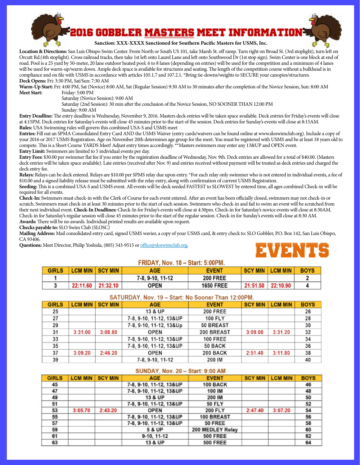

Orcutt Rd.(4th stoplight). Cross railroad tracks, then take 1st left onto Laurel Lane and left onto Southwood Dr (1st stop sign). Swim Center is one block at end of road. Pool is a 25 yard by 50-meter, 20 lane outdoor heated pool. 6 to 8 lanes (depending on entries) will be used for the competition and a minimum of 4 lanes **1 7-8, 9-10, 11-12 200 FREE 2** will be used for warm-up/warm down. Ample deck space is available for structures and seating. The length of the competition course without a bulkhead is in compliance and on file with USMS in accordance with articles 105.1.7 and 107.2.1. \*Bring tie-downs/weights to SECURE your canopies/structures. **Location & Directions:** San Luis Obispo Swim Center. From North or South US 101, take Marsh St. off ramp. Turn right on Broad St. (3rd stoplight), turn left on **Deck Opens:** Fri: 3:30 PM, Sat/Sun: 7:30 AM

**Warm-Up Start:** Fri: 4:00 PM, Sat (Novice) 8:00 AM, Sat (Regular Session) 9:30 AM to 30 minutes after the completion of the Novice Session, Sun: 8:00 AM **Meet Start:** Friday: 5:00 PM

Saturday (Novice Session): 9:00 AM

**Saturday** (2nd Session): 300 The<br>Saturday (2nd Session): 30 min after the conclusion of the Novice Session, NO SOONER THAN 12:00 PM

Sunday: 9:00 AM

Entry Deadline: The entry deadline is Wednesday, November 9, 2016. Masters deck entries will be taken space available. Deck entries for Friday's events will close at 4:15PM. Deck entries for Saturday's events will close 45 minutes prior to the start of the session. Deck entries for Sunday's events will close at 8:15AM.<br>Rules: USA Swimming rules will govern this combined USA-S and US **Rules:** USA Swimming rules will govern this combined USA-S and USMS meet

Entries: Fill out an SPMA Consolidated Entry Card AND the USMS Waiver (entry cards/waivers can be found online at www.sloswimclub.org). Include a copy of November 20th determines age group for the meet. You must be registered **v** *Adjust entry times accordingly.* **\*\*Masters swimmers may enter any 13&UP** your 2016 or 2017 USMS Registration. Age on November 20th determines age group for the meet. You must be registered with USMS and be at least 18 years old to compete. This is a Short Course YARDS Meet! Adjust entry times accordingly. \*\*Masters swimmers may enter any 13&UP and OPEN event. **Entry Limit:** Swimmers are limited to 5 individual events per day.

**9 7-8, 9-10, 11-12 50 BACK 10** Entry Fees: \$30.00 per swimmer flat fee if you enter by the registration deadline of Wednesday, Nov. 9th. Deck entries are allowed for a total of \$40.00. (Masters deck entries will be taken space available). Late entries (received after Nov. 9) and entries received without payment will be treated as deck entries and charged the deck entry fee.

ueck entry lee.<br>**Relays:** Relays can be deck entered. Relays are \$10.00 per SPMS relay due upon entry. \*For each relay only swimmer who is not entered in individual events, a fee of **10.00** and a signed liability release must be submitted with the relay entry, along with confirmation of current USMS Registration.

**19 International Contract Contract Contract Contract Contract Contract Contract Contract Contract Contract Contract Contract Contract Contract Contract Contract Contract Contract Contract Contract Contract Contract Contra 21 7-8, 9-10, 11-12 100 IM 22 Seeding:** This is a combined USA-S and USMS event. All events will be deck seeded FASTEST to SLOWEST by entered time, all ages combined Check-in will be required for all events.

**Awards:** There will be no awards. Individual printed results are available upon request.<br>Checks **parable to:** SLO Swim Club (SLOSC) Check-In: Swimmers must check-in with the Clerk of Course for each event entered. After an event has been officially closed, swimmers may not check-in or scratch. Swimmers must check-in at least 30 minutes prior to the start of each session. Swimmers who check-in and fail to swim an event will be scratched from their next individual event. **Check-In Deadlines:** Check-In for Friday's events will close at 4:30pm. Check-in for Saturday's novice events will close at 8:30AM. Check-in for Saturday's regular session will close 45 minutes prior to the start of the regular session. Check-in for Sunday's events will close at 8:30 AM.

**Checks payable to:** SLO Swim Club (SLOSC)

**GIRLS CONSUMERTY CALCOLY GIRLS MIN GIRLS MIN SCALCOLY MIN SCIET AGE EVENT CONSUMERT DO BOY 142 SC Mailing Address:** Mail consolidated entry card, signed USMS wavier, a copy of your USMS card, & entry check to: SLO Gobbler, P.O. Box 142, San Luis Obispo,<br>CA 93406 CA 93406.

**277 100 FLYP 100 FLYP ISLAMS** CONSIDERED INTERFALL **CONSIDERED IN THE UPPER ISLAMS** CONSIDERED IN THE UPPER ISLAMS



### **5:00PM, 8-18 - 8:00PM, 18-8, 9:00PM**

| <b>GIRLS</b> | <b>LCM MIN SCY MIN</b> | AGE              | <b>EVENT</b>     | <b>SCY MIN</b> | <b>LCM MIN</b>    | <b>BOYS</b> |
|--------------|------------------------|------------------|------------------|----------------|-------------------|-------------|
|              |                        | 7-8, 9-10, 11-12 | <b>200 FREE</b>  |                |                   |             |
|              | 22:11.60 21:32.10      | OPEN             | <b>1650 FREE</b> |                | 21:51.50 22:10.90 |             |

### **5ATURDAY.** Nov. 19 - Start: No Sooner Than 12:00PM.

| <b>GIRLS</b> | <b>LCM MIN</b> | <b>SCY MIN</b> | <b>AGE</b>              | <b>EVENT</b>    | <b>SCY MIN</b> | <b>LCM MIN</b> | <b>BOYS</b> |
|--------------|----------------|----------------|-------------------------|-----------------|----------------|----------------|-------------|
| 25           |                |                | 13 & UP                 | <b>200 FREE</b> |                |                | 26          |
| 27           |                |                | 7-8, 9-10, 11-12, 13&UP | 100 FLY         |                |                | 28          |
| 29           |                |                | 7-8, 9-10, 11-12, 13&Up | 50 BREAST       |                |                | 30          |
| 31           | 3:31.00        | 3:08.80        | <b>OPEN</b>             | 200 BREAST      | 3:09.00        | 3:31.20        | 32          |
| 33           |                |                | 7-8, 9-10, 11-12, 13&UP | <b>100 FREE</b> |                |                | 34          |
| 35           |                |                | 7-8, 9-10, 11-12, 13&UP | 50 BACK         |                |                | 36          |
| 37           | 3:09.20        | 2:46.20        | OPEN                    | <b>200 BACK</b> | 2:51.40        | 3:11.80        | 38          |
| 39           |                |                | 7-8.9-10.11-12          | 200 IM          |                |                | 40          |

#### $SUNDAY. Nov. 20 - Start: 9:00 AM$

| <b>GIRLS</b> | <b>LCM MIN</b> | <b>SCY MIN</b> | <b>AGE</b>              | <b>EVENT</b>     | <b>SCY MIN</b> | <b>LCM MIN</b> | <b>BOYS</b> |
|--------------|----------------|----------------|-------------------------|------------------|----------------|----------------|-------------|
| 45           |                |                | 7-8, 9-10, 11-12, 13&UP | 100 BACK         |                |                | 46          |
| 47           |                |                | 7-8, 9-10, 11-12, 13&UP | 100 IM           |                |                | 48          |
| 49           |                |                | 13 & UP                 | 200 IM           |                |                | 50          |
| 51           |                |                | 7-8, 9-10, 11-12, 13&UP | <b>50 FLY</b>    |                |                | 52          |
| 53           | 3:05.70        | 2:43.20        | OPEN                    | 200 FLY          | 2:47.40        | 3:07.20        | 54          |
| 55           |                |                | 7-8, 9-10, 11-12, 13&UP | 100 BREAST       |                |                | 56          |
| 57           |                |                | 7-8, 9-10, 11-12, 13&UP | 50 FREE          |                |                | 58          |
| 59           |                |                | 5 & UP                  | 200 MEDLEY Relay |                |                | 60          |
| 61           |                |                | 9-10, 11-12             | <b>500 FREE</b>  |                |                | 62          |
| 63           |                |                | 13 & UP                 | <b>500 FREE</b>  |                |                | 64          |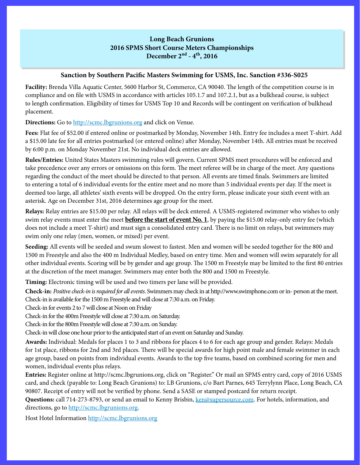## **Long Beach Grunions 2016 SPMS Short Course Meters Championships December 2nd - 4th, 2016**

## **Sanction by Southern Pacific Masters Swimming for USMS, Inc. Sanction #336-S025**

**Facility:** Brenda Villa Aquatic Center, 5600 Harbor St, Commerce, CA 90040. The length of the competition course is in compliance and on file with USMS in accordance with articles 105.1.7 and 107.2.1, but as a bulkhead course, is subject to length confirmation. Eligibility of times for USMS Top 10 and Records will be contingent on verification of bulkhead placement.

**Directions:** Go to<http://scmc.lbgrunions.org> and click on Venue.

**Fees:** Flat fee of \$52.00 if entered online or postmarked by Monday, November 14th. Entry fee includes a meet T-shirt. Add a \$15.00 late fee for all entries postmarked (or entered online) after Monday, November 14th. All entries must be received by 6:00 p.m. on Monday November 21st. No individual deck entries are allowed.

**Rules/Entries:** United States Masters swimming rules will govern. Current SPMS meet procedures will be enforced and take precedence over any errors or omissions on this form. The meet referee will be in charge of the meet. Any questions regarding the conduct of the meet should be directed to that person. All events are timed finals. Swimmers are limited to entering a total of 6 individual events for the entire meet and no more than 5 individual events per day. If the meet is deemed too large, all athletes' sixth events will be dropped. On the entry form, please indicate your sixth event with an asterisk. Age on December 31st, 2016 determines age group for the meet.

**Relays:** Relay entries are \$15.00 per relay. All relays will be deck entered. A USMS-registered swimmer who wishes to only swim relay events must enter the meet **before the start of event No. 1**, by paying the \$15.00 relay-only entry fee (which does not include a meet T-shirt) and must sign a consolidated entry card. There is no limit on relays, but swimmers may swim only one relay (men, women, or mixed) per event.

**Seeding:** All events will be seeded and swum slowest to fastest. Men and women will be seeded together for the 800 and 1500 m Freestyle and also the 400 m Individual Medley, based on entry time. Men and women will swim separately for all other individual events. Scoring will be by gender and age group. The 1500 m Freestyle may be limited to the first 80 entries at the discretion of the meet manager. Swimmers may enter both the 800 and 1500 m Freestyle.

**Timing:** Electronic timing will be used and two timers per lane will be provided.

**Check-in:** *Positive check-in is required for all events*. Swimmers may check in at http://www.swimphone.com or in- person at the meet. Check-in is available for the 1500 m Freestyle and will close at 7:30 a.m. on Friday.

Check-in for events 2 to 7 will close at Noon on Friday

Check-in for the 400m Freestyle will close at 7:30 a.m. on Saturday.

Check-in for the 800m Freestyle will close at 7:30 a.m. on Sunday.

Check-in will close one hour prior to the anticipated start of an event on Saturday and Sunday.

**Awards:** Individual: Medals for places 1 to 3 and ribbons for places 4 to 6 for each age group and gender. Relays: Medals for 1st place, ribbons for 2nd and 3rd places. There will be special awards for high point male and female swimmer in each age group, based on points from individual events. Awards to the top five teams, based on combined scoring for men and women, individual events plus relays.

**Entries:** Register online at http://scmc.lbgrunions.org, click on "Register." Or mail an SPMS entry card, copy of 2016 USMS card, and check (payable to: Long Beach Grunions) to: LB Grunions, c/o Bart Parnes, 645 Terrylynn Place, Long Beach, CA 90807. Receipt of entry will not be verified by phone. Send a SASE or stamped postcard for return receipt.

Questions: call 714-273-8793, or send an email to Kenny Brisbin, [ken@supersource.com.](mailto:ken%40supersource.com?subject=) For hotels, information, and directions, go to <http://scmc.lbgrunions.org>.

Host Hotel Information <http://scmc.lbgrunions.org>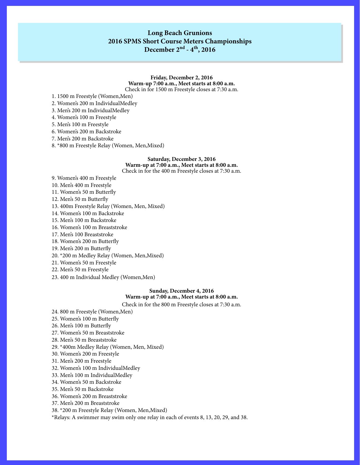## **Long Beach Grunions 2016 SPMS Short Course Meters Championships December 2nd - 4th, 2016**

#### **Friday, December 2, 2016 Warm-up 7:00 a.m., Meet starts at 8:00 a.m.** Check in for 1500 m Freestyle closes at 7:30 a.m.

1. 1500 m Freestyle (Women,Men)

2. Women's 200 m IndividualMedley

3. Men's 200 m IndividualMedley

4. Women's 100 m Freestyle

5. Men's 100 m Freestyle

6. Women's 200 m Backstroke

7. Men's 200 m Backstroke

8. \*800 m Freestyle Relay (Women, Men,Mixed)

#### **Saturday, December 3, 2016 Warm-up at 7:00 a.m., Meet starts at 8:00 a.m.** Check in for the 400 m Freestyle closes at 7:30 a.m.

9. Women's 400 m Freestyle

10. Men's 400 m Freestyle

11. Women's 50 m Butterfly

12. Men's 50 m Butterfly

13. 400m Freestyle Relay (Women, Men, Mixed)

14. Women's 100 m Backstroke

15. Men's 100 m Backstroke

16. Women's 100 m Breaststroke

17. Men's 100 Breaststroke

18. Women's 200 m Butterfly

19. Men's 200 m Butterfly

20. \*200 m Medley Relay (Women, Men,Mixed)

21. Women's 50 m Freestyle

22. Men's 50 m Freestyle

23. 400 m Individual Medley (Women, Men)

#### **Sunday, December 4, 2016 Warm-up at 7:00 a.m., Meet starts at 8:00 a.m.**

Check in for the 800 m Freestyle closes at 7:30 a.m.

24. 800 m Freestyle (Women,Men)

25. Women's 100 m Butterfly

26. Men's 100 m Butterfly

27. Women's 50 m Breaststroke

28. Men's 50 m Breaststroke

29. \*400m Medley Relay (Women, Men, Mixed)

30. Women's 200 m Freestyle

31. Men's 200 m Freestyle

32. Women's 100 m IndividualMedley

33. Men's 100 m IndividualMedley

34. Women's 50 m Backstroke

35. Men's 50 m Backstroke

36. Women's 200 m Breaststroke

37. Men's 200 m Breaststroke

38. \*200 m Freestyle Relay (Women, Men,Mixed)

\*Relays: A swimmer may swim only one relay in each of events 8, 13, 20, 29, and 38.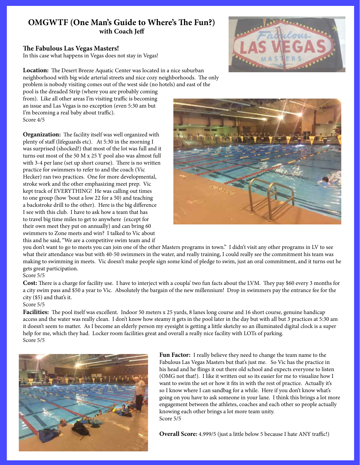## **OMGWTF (One Man's Guide to Where's The Fun?) with Coach Jeff**

## **The Fabulous Las Vegas Masters!**

In this case what happens in Vegas does not stay in Vegas!

**Location:** The Desert Breeze Aquatic Center was located in a nice suburban neighborhood with big wide arterial streets and nice cozy neighborhoods. The only problem is nobody visiting comes out of the west side (no hotels) and east of the

pool is the dreaded Strip (where you are probably coming from). Like all other areas I'm visiting traffic is becoming an issue and Las Vegas is no exception (even 5:30 am but I'm becoming a real baby about traffic). Score 4/5

**Organization:** The facility itself was well organized with plenty of staff (lifeguards etc). At 5:30 in the morning I was surprised (shocked!) that most of the lot was full and it turns out most of the 50 M x 25 Y pool also was almost full with 3-4 per lane (set up short course). There is no written practice for swimmers to refer to and the coach (Vic Hecker) ran two practices. One for more developmental, stroke work and the other emphasizing meet prep. Vic kept track of EVERYTHING! He was calling out times to one group (how 'bout a low 22 for a 50) and teaching a backstroke drill to the other). Here is the big difference I see with this club. I have to ask how a team that has to travel big time miles to get to anywhere (except for their own meet they put on annually) and can bring 60 swimmers to Zone meets and win? I talked to Vic about this and he said, "We are a competitive swim team and if





you don't want to go to meets you can join one of the other Masters programs in town." I didn't visit any other programs in LV to see what their attendance was but with 40-50 swimmers in the water, and really training, I could really see the commitment his team was making to swimming in meets. Vic doesn't make people sign some kind of pledge to swim, just an oral commitment, and it turns out he gets great participation.

### Score 5/5

**Cost:** There is a charge for facility use. I have to interject with a coupla' two fun facts about the LVM. They pay \$60 every 3 months for a city swim pass and \$50 a year to Vic. Absolutely the bargain of the new millennium! Drop in swimmers pay the entrance fee for the city (\$5) and that's it.

## Score 5/5

Facilities: The pool itself was excellent. Indoor 50 meters x 25 yards, 8 lanes long course and 16 short course, genuine handicap access and the water was really clean. I don't know how steamy it gets in the pool later in the day but with all but 3 practices at 5:30 am it doesn't seem to matter. As I become an elderly person my eyesight is getting a little sketchy so an illuminated digital clock is a super help for me, which they had. Locker room facilities great and overall a really nice facility with LOTs of parking. Score 5/5



**Fun Factor:** I really believe they need to change the team name to the Fabulous Las Vegas Masters but that's just me. So Vic has the practice in his head and he flings it out there old school and expects everyone to listen (OMG not that!). I like it written out so its easier for me to visualize how I want to swim the set or how it fits in with the rest of practice. Actually it's so I know where I can sandbag for a while. Here if you don't know what's going on you have to ask someone in your lane. I think this brings a lot more engagement between the athletes, coaches and each other so people actually knowing each other brings a lot more team unity. Score 5/5

**Overall Score:** 4.999/5 (just a little below 5 because I hate ANY traffic!)